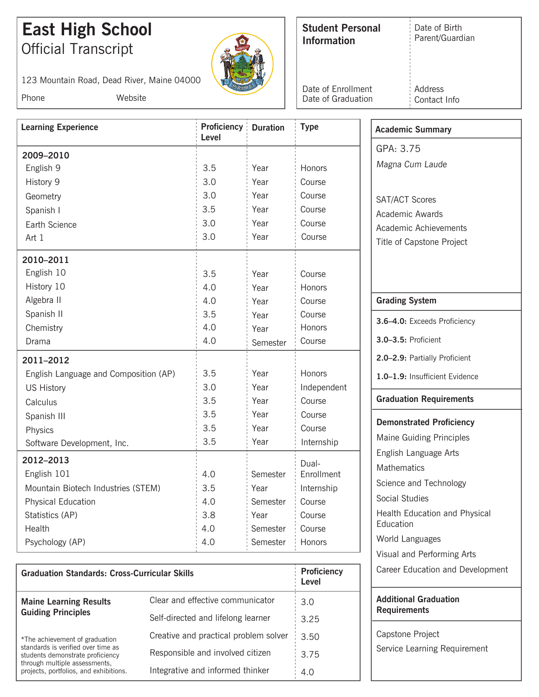## **East High School Student Personal Official Transcript**

Phone Website

123 Mountain Road, Dead River, Maine 04000

Date of Birth Parent/Guardian

Date of Graduation Date of Enrollment Address Contact Info

| <b>Learning Experience</b>            | Proficiency<br>Level | <b>Duration</b> | <b>Type</b> | <b>Academic Summary</b>         |
|---------------------------------------|----------------------|-----------------|-------------|---------------------------------|
|                                       |                      |                 |             | GPA: 3.75                       |
| 2009-2010                             |                      |                 |             | Magna Cum Laude                 |
| English 9                             | 3.5                  | Year            | Honors      |                                 |
| History 9                             | 3.0                  | Year            | Course      |                                 |
| Geometry                              | 3.0                  | Year            | Course      | <b>SAT/ACT Scores</b>           |
| Spanish I                             | 3.5                  | Year            | Course      | Academic Awards                 |
| Earth Science                         | 3.0                  | Year            | Course      | Academic Achievements           |
| Art 1                                 | 3.0                  | Year            | Course      | Title of Capstone Project       |
| 2010-2011                             |                      |                 |             |                                 |
| English 10                            | 3.5                  | Year            | Course      |                                 |
| History 10                            | 4.0                  | Year            | Honors      |                                 |
| Algebra II                            | 4.0                  | Year            | Course      | <b>Grading System</b>           |
| Spanish II                            | 3.5                  | Year            | Course      |                                 |
| Chemistry                             | 4.0                  | Year            | Honors      | 3.6-4.0: Exceeds Proficiency    |
| Drama                                 | 4.0                  | Semester        | Course      | 3.0-3.5: Proficient             |
| 2011-2012                             |                      |                 |             | 2.0-2.9: Partially Proficient   |
| English Language and Composition (AP) | 3.5                  | Year            | Honors      | 1.0-1.9: Insufficient Evidence  |
| <b>US History</b>                     | 3.0                  | Year            | Independent |                                 |
| Calculus                              | 3.5                  | Year            | Course      | <b>Graduation Requirements</b>  |
| Spanish III                           | 3.5                  | Year            | Course      |                                 |
| Physics                               | 3.5                  | Year            | Course      | <b>Demonstrated Proficiency</b> |
| Software Development, Inc.            | 3.5                  | Year            | Internship  | <b>Maine Guiding Principles</b> |
| 2012-2013                             |                      |                 | Dual-       | English Language Arts           |
| English 101                           | 4.0                  | Semester        | Enrollment  | <b>Mathematics</b>              |
| Mountain Biotech Industries (STEM)    | 3.5                  | Year            | Internship  | Science and Technology          |
| <b>Physical Education</b>             | 4.0                  | Semester        | Course      | Social Studies                  |
| Statistics (AP)                       | 3.8                  | Year            | Course      | Health Education and Physical   |
| Health                                | 4.0                  | Semester        | Course      | Education                       |
| Psychology (AP)                       | 4.0                  | Semester        | Honors      | World Languages                 |
|                                       |                      |                 |             | Visual and Performing Arts      |

| <b>Graduation Standards: Cross-Curricular Skills</b>                                                                                              |                                       | <b>Proficiency</b><br>Level |
|---------------------------------------------------------------------------------------------------------------------------------------------------|---------------------------------------|-----------------------------|
| <b>Maine Learning Results</b>                                                                                                                     | Clear and effective communicator      | 3.0                         |
| <b>Guiding Principles</b>                                                                                                                         | Self-directed and lifelong learner    | 3.25                        |
| *The achievement of graduation                                                                                                                    | Creative and practical problem solver | 3.50                        |
| standards is verified over time as<br>students demonstrate proficiency<br>through multiple assessments,<br>projects, portfolios, and exhibitions. | Responsible and involved citizen      | 3.75                        |
|                                                                                                                                                   | Integrative and informed thinker      | 4.0                         |

| Additional Graduation |  |
|-----------------------|--|
| Requirements          |  |

Career Education and Development

Capstone Project Service Learning Requirement